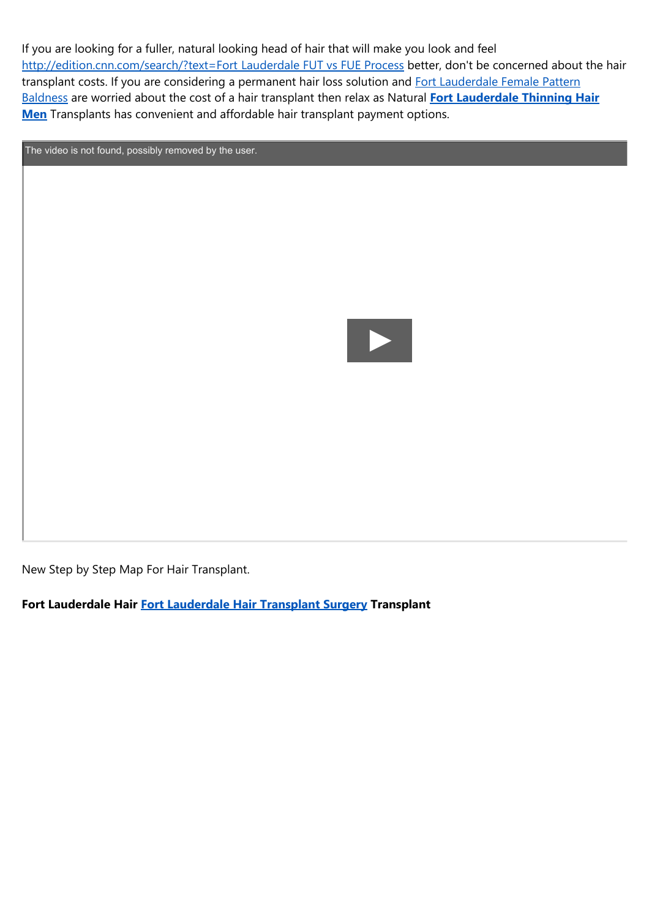If you are looking for a fuller, natural looking head of hair that will make you look and feel [http://edition.cnn.com/search/?text=Fort](http://edition.cnn.com/search/?text=Fort Lauderdale FUT vs FUE Process) Lauderdale FUT vs FUE Process better, don't be concerned about the hair transplant costs. If you are considering a permanent hair loss solution and Fort [Lauderdale](https://naturaltransplants.com/results/hair-transplant-video/) Female Pattern Baldness are worried about the cost of a hair transplant then relax as Natural **Fort [Lauderdale](https://naturaltransplants.com/solutions/high-yield-unit-extraction-hue-hair-transplant/) Thinning Hair Men** Transplants has convenient and affordable hair transplant payment options.

The video is not found, possibly removed by the user.



New Step by Step Map For Hair Transplant.

**Fort Lauderdale Hair Fort [Lauderdale](http://naturaltransplants.com/solutions/hair-transplantation-process/) Hair Transplant Surgery Transplant**